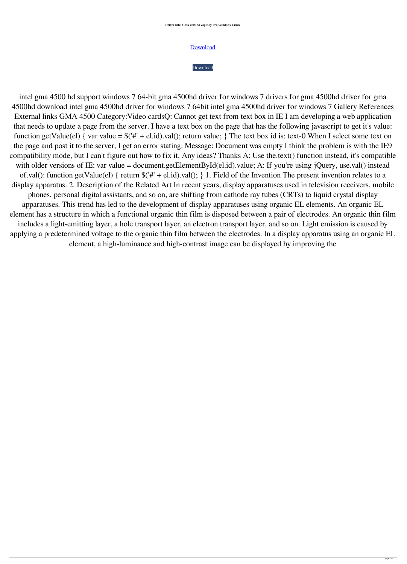**Driver Intel Gma 4500 M Zip Key Pro Windows Crack**



## [Download](http://evacdir.com/?biographical=ZHJpdmVyIGludGVsIGdtYSA0NTAwIG0gaGQgd2luNwZHJ&nourisher=ZG93bmxvYWR8WWYxTVRKcmFueDhNVFkxTWpjME1EZzJObng4TWpVM05IeDhLRTBwSUhKbFlXUXRZbXh2WnlCYlJtRnpkQ0JIUlU1ZA/comptroller.aifare)

intel gma 4500 hd support windows 7 64-bit gma 4500hd driver for windows 7 drivers for gma 4500hd driver for gma 4500hd download intel gma 4500hd driver for windows 7 64bit intel gma 4500hd driver for windows 7 Gallery References External links GMA 4500 Category:Video cardsQ: Cannot get text from text box in IE I am developing a web application that needs to update a page from the server. I have a text box on the page that has the following javascript to get it's value: function getValue(el) { var value =  $\frac{1}{4}$  + el.id).val(); return value; } The text box id is: text-0 When I select some text on the page and post it to the server, I get an error stating: Message: Document was empty I think the problem is with the IE9 compatibility mode, but I can't figure out how to fix it. Any ideas? Thanks A: Use the.text() function instead, it's compatible with older versions of IE: var value = document.getElementById(el.id).value; A: If you're using jQuery, use.val() instead of.val(): function getValue(el) { return \$('#' + el.id).val(); } 1. Field of the Invention The present invention relates to a display apparatus. 2. Description of the Related Art In recent years, display apparatuses used in television receivers, mobile phones, personal digital assistants, and so on, are shifting from cathode ray tubes (CRTs) to liquid crystal display apparatuses. This trend has led to the development of display apparatuses using organic EL elements. An organic EL element has a structure in which a functional organic thin film is disposed between a pair of electrodes. An organic thin film includes a light-emitting layer, a hole transport layer, an electron transport layer, and so on. Light emission is caused by applying a predetermined voltage to the organic thin film between the electrodes. In a display apparatus using an organic EL element, a high-luminance and high-contrast image can be displayed by improving the